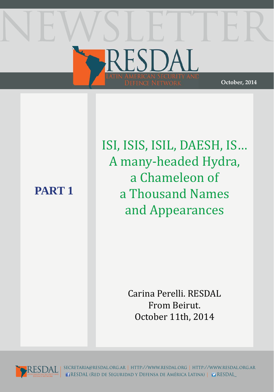# ESDA **October, 2014**

## **PART 1**

ISI, ISIS, ISIL, DAESH, IS… A many-headed Hydra, a Chameleon of a Thousand Names and Appearances

> Carina Perelli. RESDAL From Beirut. October 11th, 2014



secretaria@resdal.org.ar | http://www.resdal.org | http://www.resdal.org.ar RESDAL (Red de Seguridad y Defensa de América Latina) | RESDAL\_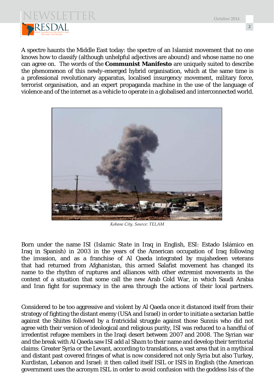



A spectre haunts the Middle East today: the spectre of an Islamist movement that no one knows how to classify (although unhelpful adjectives are abound) and whose name no one can agree on. The words of the **Communist Manifesto** are uniquely suited to describe the phenomenon of this newly-emerged hybrid organisation, which at the same time is a professional revolutionary apparatus, localised insurgency movement, military force, terrorist organisation, and an expert propaganda machine in the use of the language of violence and of the internet as a vehicle to operate in a globalised and interconnected world.



*Kobane City. Source: TELAM*

Born under the name ISI (*Islamic State* in Iraq in English, ESI: Estado Islámico en Iraq in Spanish) in 2003 in the years of the American occupation of Iraq following the invasion, and as a franchise of Al Qaeda integrated by mujahedeen veterans that had returned from Afghanistan, this armed Salafist movement has changed its name to the rhythm of ruptures and alliances with other extremist movements in the context of a situation that some call the new Arab Cold War, in which Saudi Arabia and Iran fight for supremacy in the area through the actions of their local partners.

Considered to be too aggressive and violent by Al Qaeda once it distanced itself from their strategy of fighting the distant enemy (USA and Israel) in order to initiate a sectarian battle against the Shiites followed by a fratricidal struggle against those Sunnis who did not agree with their version of ideological and religious purity, ISI was reduced to a handful of irredentist refugee members in the Iraqi desert between 2007 and 2008. The Syrian war and the break with Al Qaeda saw ISI add *al Sham* to their name and develop their territorial claims: Greater Syria or the Levant, according to translations, a vast area that in a mythical and distant past covered fringes of what is now considered not only Syria but also Turkey, Kurdistan, Lebanon and Israel: it then called itself ISIL or ISIS in English (the American government uses the acronym ISIL in order to avoid confusion with the goddess Isis of the

**2**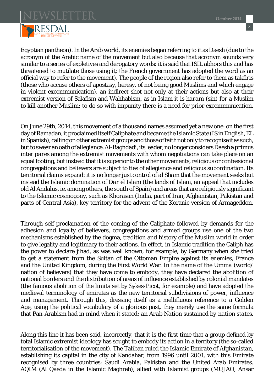

Egyptian pantheon). In the Arab world, its enemies began referring to it as Daesh (due to the acronym of the Arabic name of the movement but also because that acronym sounds very similar to a series of expletives and derogatory words: it is said that ISIL abhors this and has threatened to mutilate those using it; the French government has adopted the word as an official way to refer to the movement). The people of the region also refer to them as *takfiris* (those who accuse others of apostasy, heresy, of not being good Muslims and which engage in violent excommunication), an indirect shot not only at their actions but also at their extremist version of Salafism and Wahhabism, as in Islam it is *haram* (sin) for a Muslim to kill another Muslim: to do so with impunity there is a need for prior excommunication.

On June 29th, 2014, this movement of a thousand names assumed yet a new one: on the first day of Ramadan, it proclaimed itself Caliphate and became the Islamic State (IS in English, EL in Spanish), calling on other extremist groups and those of faith not only to recognise it as such, but to swear an oath of allegiance. Al-Baghdadi, its leader, no longer considers Daesh a *primus inter pares* among the extremist movements with whom negotiations can take place on an equal footing, but instead that it is superior to the other movements, religious or confessional congregations and believers are subject to ties of allegiance and religious subordination. Its territorial claims expand: it is no longer just control of *al Sham* that the movement seeks but instead the Islamic domination of *Dar el Islam* (the lands of Islam, an appeal that includes old Al Andalus, ie, among others, the south of Spain) and areas that are religiously significant to the Islamic cosmogony, such as Khorasan (India, part of Iran, Afghanistan, Pakistan and parts of Central Asia), key territory for the advent of the Koranic version of Armageddon.

Through self-proclamation of the coming of the Caliphate followed by demands for the adhesion and loyalty of believers, congregations and armed groups use one of the two mechanisms established by the dogma, tradition and history of the Muslim world in order to give legality and legitimacy to their actions. In effect, in Islamic tradition the Caliph has the power to declare jihad, as was well known, for example, by Germany when she tried to get a statement from the Sultan of the Ottoman Empire against its enemies, France and the United Kingdom, during the First World War. In the name of the *Umma* (world/ nation of believers) that they have come to embody, they have declared the abolition of national borders and the distribution of areas of influence established by colonial mandates (the famous abolition of the limits set by Sykes-Picot, for example) and have adopted the medieval terminology of emirates as the new territorial subdivisions of power, influence and management. Through this, dressing itself as a mellifluous reference to a Golden Age, using the political vocabulary of a glorious past, they merely use the same formula that Pan-Arabism had in mind when it stated: *an Arab Nation sustained by nation states.*

Along this line it has been said, incorrectly, that it is the first time that a group defined by total Islamic extremist ideology has sought to embody its action in a territory (the so-called territorialisation of the movement). The Taliban ruled the *Islamic Emirate of Afghanistan*, establishing its capital in the city of Kandahar, from 1996 until 2001, with this Emirate recognised by three countries: Saudi Arabia, Pakistan and the United Arab Emirates. AQIM (Al Qaeda in the Islamic Maghreb), allied with Islamist groups (MUJAO, Ansar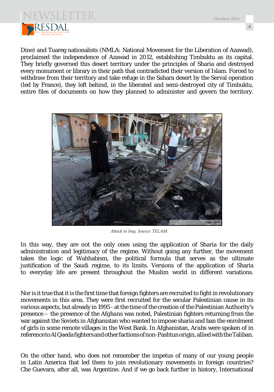

Dine) and Tuareg nationalists (NMLA: National Movement for the Liberation of Azawad), proclaimed the independence of Azawad in 2012, establishing Timbuktu as its capital. They briefly governed this desert territory under the principles of Sharia and destroyed every monument or library in their path that contradicted their version of Islam. Forced to withdraw from their territory and take refuge in the Sahara desert by the Serval operation (led by France), they left behind, in the liberated and semi-destroyed city of Timbuktu, entire files of documents on how they planned to administer and govern the territory.



*Att ack in Iraq. Source: TELAM*

In this way, they are not the only ones using the application of Sharia for the daily administration and legitimacy of the regime. Without going any further, the movement takes the logic of Wahhabism, the political formula that serves as the ultimate justification of the Saudi regime, to its limits. Versions of the application of Sharia to everyday life are present throughout the Muslim world in different variations.

Nor is it true that it is the first time that foreign fighters are recruited to fight in revolutionary movements in this area. They were first recruited for the secular Palestinian cause in its various aspects, but already in 1995 - at the time of the creation of the Palestinian Authority's presence – the presence of the *Afghans* was noted, Palestinian fighters returning from the war against the Soviets in Afghanistan who wanted to impose sharia and ban the enrolment of girls in some remote villages in the West Bank. In Afghanistan, *Arabs* were spoken of in reference to Al Qaeda fighters and other factions of non-Pashtun origin, allied with the Taliban.

On the other hand, who does not remember the impetus of many of our young people in Latin America that led them to join revolutionary movements in foreign countries? Che Guevara, after all, was Argentine. And if we go back further in history, International

**October 2014**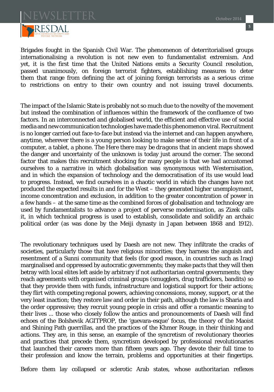

Brigades fought in the Spanish Civil War. The phenomenon of deterritorialised groups internationalising a revolution is not new even to fundamentalist extremism. And yet, it is the first time that the United Nations emits a Security Council resolution, passed unanimously, on foreign terrorist fighters, establishing measures to deter them that range from defining the act of joining foreign terrorists as a serious crime to restrictions on entry to their own country and not issuing travel documents.

The impact of the Islamic State is probably not so much due to the novelty of the movement but instead the combination of influences within the framework of the confluence of two factors. In an interconnected and globalised world, the efficient and effective use of social media and new communication technologies have made this phenomenon viral. Recruitment is no longer carried out face-to-face but instead via the internet and can happen anywhere, anytime, wherever there is a young person looking to make sense of their life in front of a computer, a tablet, a phone. The *Here there may be dragons* that in ancient maps showed the danger and uncertainty of the unknown is today just around the corner. The second factor that makes this recruitment shocking for many people is that we had accustomed ourselves to a narrative in which globalisation was synonymous with Westernisation, and in which the expansion of technology and the democratisation of its use would lead to progress. Instead, we find ourselves in a chaotic world in which the changes have not produced the expected results in and for the West – they generated higher unemployment, income concentration and exclusion, in addition to the greater concentration of power in a few hands – at the same time as the combined forces of globalisation and technology are used by fundamentalists to advance a project of *perverse modernisation*, as Zizek calls it, in which technical progress is used to establish, consolidate and solidify an archaic political order (as was done by the Meiji dynasty in Japan between 1868 and 1912).

The revolutionary techniques used by Daesh are not new. They infiltrate the cracks of societies, particularly those that have religious minorities; they harness the anguish and resentment of a Sunni community that feels (for good reason, in countries such as Iraq) marginalised and oppressed by autocratic governments; they make pacts that they will then betray with local elites left aside by arbitrary if not authoritarian central governments; they reach agreements with organised criminal groups (smugglers, drug traffickers, bandits) so that they provide them with funds, infrastructure and logistical support for their actions; they flirt with competing regional powers, achieving concessions, money, support, or at the very least inaction; they restore law and order in their path, although the law is Sharia and the order oppressive; they recruit young people in crisis and offer a romantic meaning to their lives ... those who closely follow the antics and pronouncements of Daesh will find echoes of the Bolshevik AGITPROP, the 'guevara-esque' focus, the theory of the Maoist and Shining Path guerrillas, and the practices of the Khmer Rouge, in their thinking and actions. They are, in this sense, an example of the syncretism of revolutionary theories and practices that precede them, syncretism developed by professional revolutionaries that launched their careers more than fifteen years ago. They devote their full time to their profession and know the terrain, problems and opportunities at their fingertips.

Before them lay collapsed or sclerotic Arab states, whose authoritarian reflexes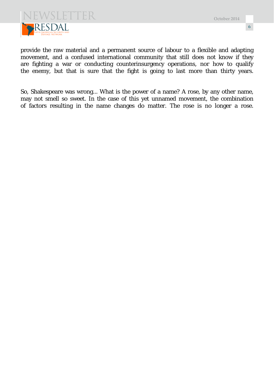

**6**

provide the raw material and a permanent source of labour to a flexible and adapting movement, and a confused international community that still does not know if they are fighting a war or conducting counterinsurgency operations, nor how to qualify the enemy, but that is sure that the fight is going to last more than thirty years.

So, Shakespeare was wrong... What is the power of a name? A rose, by any other name, may not smell so sweet. In the case of this yet unnamed movement, the combination of factors resulting in the name changes do matter. The rose is no longer a rose.